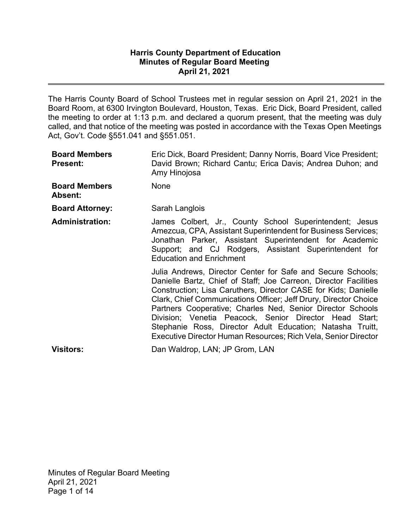#### **Harris County Department of Education Minutes of Regular Board Meeting April 21, 2021**

The Harris County Board of School Trustees met in regular session on April 21, 2021 in the Board Room, at 6300 Irvington Boulevard, Houston, Texas. Eric Dick, Board President, called the meeting to order at 1:13 p.m. and declared a quorum present, that the meeting was duly called, and that notice of the meeting was posted in accordance with the Texas Open Meetings Act, Gov't. Code §551.041 and §551.051.

| <b>Board Members</b><br><b>Present:</b> | Eric Dick, Board President; Danny Norris, Board Vice President;<br>David Brown; Richard Cantu; Erica Davis; Andrea Duhon; and<br>Amy Hinojosa                                                                                                                                                                                                                                                                                                                                                                                |
|-----------------------------------------|------------------------------------------------------------------------------------------------------------------------------------------------------------------------------------------------------------------------------------------------------------------------------------------------------------------------------------------------------------------------------------------------------------------------------------------------------------------------------------------------------------------------------|
| <b>Board Members</b><br>Absent:         | None                                                                                                                                                                                                                                                                                                                                                                                                                                                                                                                         |
| <b>Board Attorney:</b>                  | Sarah Langlois                                                                                                                                                                                                                                                                                                                                                                                                                                                                                                               |
| <b>Administration:</b>                  | James Colbert, Jr., County School Superintendent; Jesus<br>Amezcua, CPA, Assistant Superintendent for Business Services;<br>Jonathan Parker, Assistant Superintendent for Academic<br>Support; and CJ Rodgers, Assistant Superintendent for<br><b>Education and Enrichment</b>                                                                                                                                                                                                                                               |
|                                         | Julia Andrews, Director Center for Safe and Secure Schools;<br>Danielle Bartz, Chief of Staff; Joe Carreon, Director Facilities<br>Construction; Lisa Caruthers, Director CASE for Kids; Danielle<br>Clark, Chief Communications Officer; Jeff Drury, Director Choice<br>Partners Cooperative; Charles Ned, Senior Director Schools<br>Division; Venetia Peacock, Senior Director Head Start;<br>Stephanie Ross, Director Adult Education; Natasha Truitt,<br>Executive Director Human Resources; Rich Vela, Senior Director |
| <b>Visitors:</b>                        | Dan Waldrop, LAN; JP Grom, LAN                                                                                                                                                                                                                                                                                                                                                                                                                                                                                               |

Minutes of Regular Board Meeting April 21, 2021 Page 1 of 14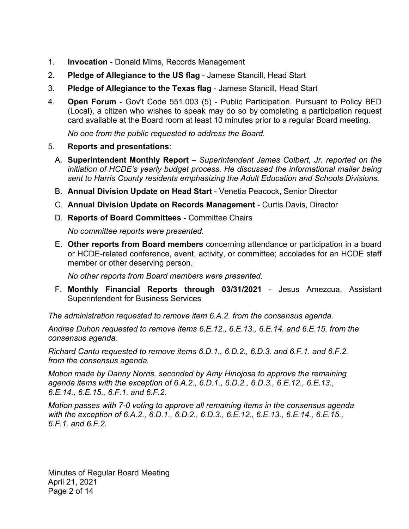- 1. **Invocation** Donald Mims, Records Management
- 2. **Pledge of Allegiance to the US flag** Jamese Stancill, Head Start
- 3. **Pledge of Allegiance to the Texas flag** Jamese Stancill, Head Start
- 4. **Open Forum** Gov't Code 551.003 (5) Public Participation. Pursuant to Policy BED (Local), a citizen who wishes to speak may do so by completing a participation request card available at the Board room at least 10 minutes prior to a regular Board meeting.

*No one from the public requested to address the Board.* 

### 5. **Reports and presentations**:

- A. **Superintendent Monthly Report** *Superintendent James Colbert, Jr. reported on the initiation of HCDE's yearly budget process. He discussed the informational mailer being sent to Harris County residents emphasizing the Adult Education and Schools Divisions.*
- B. **Annual Division Update on Head Start** Venetia Peacock, Senior Director
- C. **Annual Division Update on Records Management**  Curtis Davis, Director
- D. **Reports of Board Committees** Committee Chairs

*No committee reports were presented.* 

E. **Other reports from Board members** concerning attendance or participation in a board or HCDE-related conference, event, activity, or committee; accolades for an HCDE staff member or other deserving person.

*No other reports from Board members were presented.* 

F. **Monthly Financial Reports through 03/31/2021** - Jesus Amezcua, Assistant Superintendent for Business Services

*The administration requested to remove item 6.A.2. from the consensus agenda.* 

*Andrea Duhon requested to remove items 6.E.12., 6.E.13., 6.E.14. and 6.E.15. from the consensus agenda.* 

*Richard Cantu requested to remove items 6.D.1., 6.D.2., 6.D.3. and 6.F.1. and 6.F.2. from the consensus agenda.* 

*Motion made by Danny Norris, seconded by Amy Hinojosa to approve the remaining agenda items with the exception of 6.A.2., 6.D.1., 6.D.2., 6.D.3., 6.E.12., 6.E.13., 6.E.14., 6.E.15., 6.F.1. and 6.F.2.* 

*Motion passes with 7-0 voting to approve all remaining items in the consensus agenda with the exception of 6.A.2., 6.D.1., 6.D.2., 6.D.3., 6.E.12., 6.E.13., 6.E.14., 6.E.15., 6.F.1. and 6.F.2.* 

Minutes of Regular Board Meeting April 21, 2021 Page 2 of 14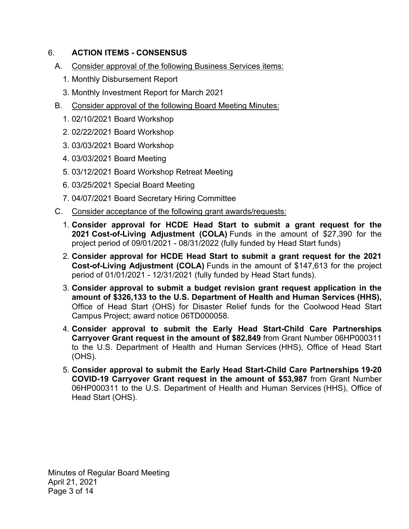# 6. **ACTION ITEMS - CONSENSUS**

- A. Consider approval of the following Business Services items:
	- 1. Monthly Disbursement Report
	- 3. Monthly Investment Report for March 2021
- B. Consider approval of the following Board Meeting Minutes:
	- 1. 02/10/2021 Board Workshop
	- 2. 02/22/2021 Board Workshop
	- 3. 03/03/2021 Board Workshop
	- 4. 03/03/2021 Board Meeting
	- 5. 03/12/2021 Board Workshop Retreat Meeting
	- 6. 03/25/2021 Special Board Meeting
	- 7. 04/07/2021 Board Secretary Hiring Committee
- C. Consider acceptance of the following grant awards/requests:
	- 1. **Consider approval for HCDE Head Start to submit a grant request for the 2021 Cost-of-Living Adjustment (COLA)** Funds in the amount of \$27,390 for the project period of 09/01/2021 - 08/31/2022 (fully funded by Head Start funds)
	- 2. **Consider approval for HCDE Head Start to submit a grant request for the 2021 Cost-of-Living Adjustment (COLA)** Funds in the amount of \$147,613 for the project period of 01/01/2021 - 12/31/2021 (fully funded by Head Start funds).
	- 3. **Consider approval to submit a budget revision grant request application in the amount of \$326,133 to the U.S. Department of Health and Human Services (HHS),**  Office of Head Start (OHS) for Disaster Relief funds for the Coolwood Head Start Campus Project; award notice 06TD000058.
	- 4. **Consider approval to submit the Early Head Start-Child Care Partnerships Carryover Grant request in the amount of \$82,849** from Grant Number 06HP000311 to the U.S. Department of Health and Human Services (HHS), Office of Head Start (OHS).
	- 5. **Consider approval to submit the Early Head Start-Child Care Partnerships 19-20 COVID-19 Carryover Grant request in the amount of \$53,987** from Grant Number 06HP000311 to the U.S. Department of Health and Human Services (HHS), Office of Head Start (OHS).

Minutes of Regular Board Meeting April 21, 2021 Page 3 of 14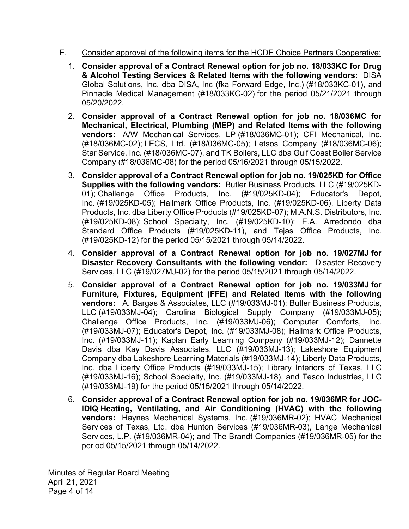- E. Consider approval of the following items for the HCDE Choice Partners Cooperative:
	- **& Alcohol Testing Services & Related Items with the following vendors:** DISA 1. **Consider approval of a Contract Renewal option for job no. 18/033KC for Drug** Global Solutions, Inc. dba DISA, Inc (fka Forward Edge, Inc.) (#18/033KC-01), and Pinnacle Medical Management (#18/033KC-02) for the period 05/21/2021 through 05/20/2022.
	- 2. **Consider approval of a Contract Renewal option for job no. 18/036MC for Mechanical, Electrical, Plumbing (MEP) and Related Items with the following**  vendors: A/W Mechanical Services, LP (#18/036MC-01); CFI Mechanical, Inc. (#18/036MC-02); LECS, Ltd. (#18/036MC-05); Letsos Company (#18/036MC-06); Star Service, Inc. (#18/036MC-07), and TK Boilers, LLC dba Gulf Coast Boiler Service Company (#18/036MC-08) for the period 05/16/2021 through 05/15/2022.
	- 3. **Consider approval of a Contract Renewal option for job no. 19/025KD for Office Supplies with the following vendors:** Butler Business Products, LLC (#19/025KD-01); Challenge Office Products, Inc. (#19/025KD-04); Educator's Depot, Inc. (#19/025KD-05); Hallmark Office Products, Inc. (#19/025KD-06), Liberty Data Products, Inc. dba Liberty Office Products (#19/025KD-07); M.A.N.S. Distributors, Inc. (#19/025KD-08); School Specialty, Inc. (#19/025KD-10); E.A. Arredondo dba Standard Office Products (#19/025KD-11), and Tejas Office Products, Inc. (#19/025KD-12) for the period 05/15/2021 through 05/14/2022.
	- **Disaster Recovery Consultants with the following vendor:** Disaster Recovery 4. **Consider approval of a Contract Renewal option for job no. 19/027MJ for**  Services, LLC (#19/027MJ-02) for the period 05/15/2021 through 05/14/2022.
	- **vendors:** A. Bargas & Associates, LLC (#19/033MJ-01); Butler Business Products, 5. **Consider approval of a Contract Renewal option for job no. 19/033MJ for Furniture, Fixtures, Equipment (FFE) and Related Items with the following**  LLC (#19/033MJ-04); Carolina Biological Supply Company (#19/033MJ-05); Challenge Office Products, Inc. (#19/033MJ-06); Computer Comforts, Inc. (#19/033MJ-07); Educator's Depot, Inc. (#19/033MJ-08); Hallmark Office Products, Inc. (#19/033MJ-11); Kaplan Early Learning Company (#19/033MJ-12); Dannette Davis dba Kay Davis Associates, LLC (#19/033MJ-13); Lakeshore Equipment Company dba Lakeshore Learning Materials (#19/033MJ-14); Liberty Data Products, Inc. dba Liberty Office Products (#19/033MJ-15); Library Interiors of Texas, LLC (#19/033MJ-16); School Specialty, Inc. (#19/033MJ-18), and Tesco Industries, LLC (#19/033MJ-19) for the period 05/15/2021 through 05/14/2022.
	- 6. **Consider approval of a Contract Renewal option for job no. 19/036MR for JOC-IDIQ Heating, Ventilating, and Air Conditioning (HVAC) with the following vendors:** Haynes Mechanical Systems, Inc. (#19/036MR-02); HVAC Mechanical Services of Texas, Ltd. dba Hunton Services (#19/036MR-03), Lange Mechanical Services, L.P. (#19/036MR-04); and The Brandt Companies (#19/036MR-05) for the period 05/15/2021 through 05/14/2022.

Minutes of Regular Board Meeting April 21, 2021 Page 4 of 14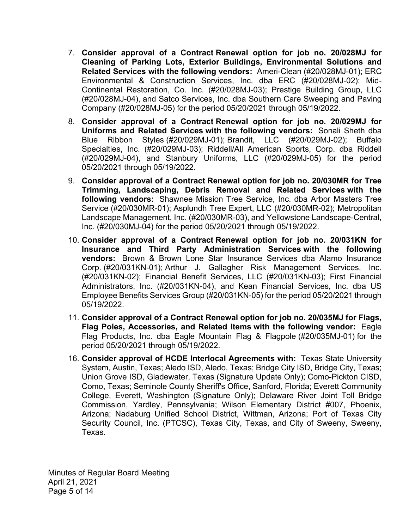- **Related Services with the following vendors:** Ameri-Clean (#20/028MJ-01); ERC 7. **Consider approval of a Contract Renewal option for job no. 20/028MJ for Cleaning of Parking Lots, Exterior Buildings, Environmental Solutions and** Environmental & Construction Services, Inc. dba ERC (#20/028MJ-02); Mid-Continental Restoration, Co. Inc. (#20/028MJ-03); Prestige Building Group, LLC (#20/028MJ-04), and Satco Services, Inc. dba Southern Care Sweeping and Paving Company (#20/028MJ-05) for the period 05/20/2021 through 05/19/2022.
- 8. **Consider approval of a Contract Renewal option for job no. 20/029MJ for Uniforms and Related Services with the following vendors:** Sonali Sheth dba Blue Ribbon Styles (#20/029MJ-01); Brandit, LLC (#20/029MJ-02); Buffalo Specialties, Inc. (#20/029MJ-03); Riddell/All American Sports, Corp. dba Riddell (#20/029MJ-04), and Stanbury Uniforms, LLC (#20/029MJ-05) for the period 05/20/2021 through 05/19/2022.
- 9. **Consider approval of a Contract Renewal option for job no. 20/030MR for Tree Trimming, Landscaping, Debris Removal and Related Services with the following vendors:** Shawnee Mission Tree Service, Inc. dba Arbor Masters Tree Service (#20/030MR-01); Asplundh Tree Expert, LLC (#20/030MR-02); Metropolitan Landscape Management, Inc. (#20/030MR-03), and Yellowstone Landscape-Central, Inc. (#20/030MJ-04) for the period 05/20/2021 through 05/19/2022.
- 10. **Consider approval of a Contract Renewal option for job no. 20/031KN for Insurance and Third Party Administration Services with the following vendors:** Brown & Brown Lone Star Insurance Services dba Alamo Insurance Corp. (#20/031KN-01); Arthur J. Gallagher Risk Management Services, Inc. (#20/031KN-02); Financial Benefit Services, LLC (#20/031KN-03); First Financial Administrators, Inc. (#20/031KN-04), and Kean Financial Services, Inc. dba US Employee Benefits Services Group (#20/031KN-05) for the period 05/20/2021 through 05/19/2022.
- **Flag Poles, Accessories, and Related Items with the following vendor:** Eagle 11. **Consider approval of a Contract Renewal option for job no. 20/035MJ for Flags,** Flag Products, Inc. dba Eagle Mountain Flag & Flagpole (#20/035MJ-01) for the period 05/20/2021 through 05/19/2022.
- 16. **Consider approval of HCDE Interlocal Agreements with:** Texas State University System, Austin, Texas; Aledo ISD, Aledo, Texas; Bridge City ISD, Bridge City, Texas; Union Grove ISD, Gladewater, Texas (Signature Update Only); Como-Pickton CISD, Como, Texas; Seminole County Sheriff's Office, Sanford, Florida; Everett Community College, Everett, Washington (Signature Only); Delaware River Joint Toll Bridge Commission, Yardley, Pennsylvania; Wilson Elementary District #007, Phoenix, Arizona; Nadaburg Unified School District, Wittman, Arizona; Port of Texas City Security Council, Inc. (PTCSC), Texas City, Texas, and City of Sweeny, Sweeny, Texas.

Minutes of Regular Board Meeting April 21, 2021 Page 5 of 14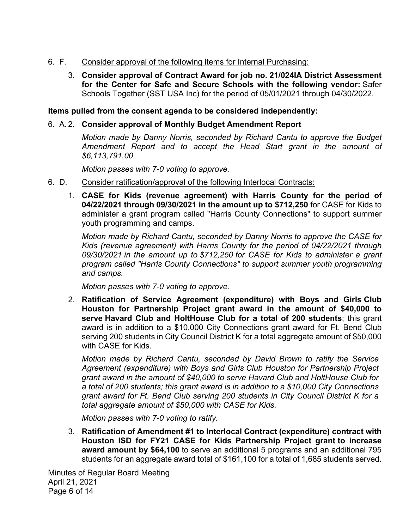- 6. F. Consider approval of the following items for Internal Purchasing:
	- 3. **Consider approval of Contract Award for job no. 21/024IA District Assessment for the Center for Safe and Secure Schools with the following vendor:** Safer Schools Together (SST USA Inc) for the period of 05/01/2021 through 04/30/2022.

### **Items pulled from the consent agenda to be considered independently:**

## 6. A. 2. **Consider approval of Monthly Budget Amendment Report**

*Motion made by Danny Norris, seconded by Richard Cantu to approve the Budget Amendment Report and to accept the Head Start grant in the amount of [\\$6,113,791.00](https://6,113,791.00).* 

*Motion passes with 7-0 voting to approve.* 

- 6. D. Consider ratification/approval of the following Interlocal Contracts:
	- 1. **CASE for Kids (revenue agreement) with Harris County for the period of 04/22/2021 through 09/30/2021 in the amount up to \$712,250** for CASE for Kids to administer a grant program called "Harris County Connections" to support summer youth programming and camps.

*Motion made by Richard Cantu, seconded by Danny Norris to approve the CASE for Kids (revenue agreement) with Harris County for the period of 04/22/2021 through 09/30/2021 in the amount up to \$712,250 for CASE for Kids to administer a grant program called "Harris County Connections" to support summer youth programming and camps.* 

*Motion passes with 7-0 voting to approve.* 

2. **Ratification of Service Agreement (expenditure) with Boys and Girls Club Houston for Partnership Project grant award in the amount of \$40,000 to serve Havard Club and HoltHouse Club for a total of 200 students**; this grant award is in addition to a \$10,000 City Connections grant award for Ft. Bend Club serving 200 students in City Council District K for a total aggregate amount of \$50,000 with CASE for Kids.

*Motion made by Richard Cantu, seconded by David Brown to ratify the Service Agreement (expenditure) with Boys and Girls Club Houston for Partnership Project grant award in the amount of \$40,000 to serve Havard Club and HoltHouse Club for a total of 200 students; this grant award is in addition to a \$10,000 City Connections grant award for Ft. Bend Club serving 200 students in City Council District K for a total aggregate amount of \$50,000 with CASE for Kids.* 

*Motion passes with 7-0 voting to ratify.* 

3. **Ratification of Amendment #1 to Interlocal Contract (expenditure) contract with Houston ISD for FY21 CASE for Kids Partnership Project grant to increase award amount by \$64,100** to serve an additional 5 programs and an additional 795 students for an aggregate award total of \$161,100 for a total of 1,685 students served.

Minutes of Regular Board Meeting April 21, 2021 Page 6 of 14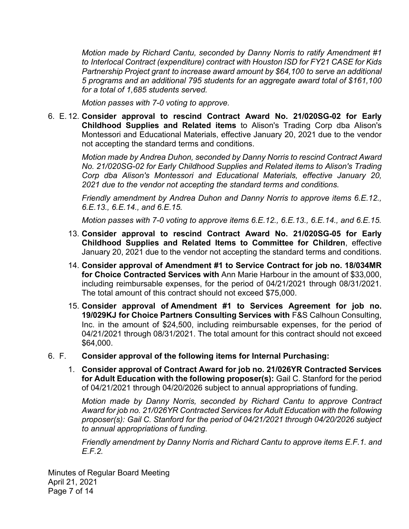*Motion made by Richard Cantu, seconded by Danny Norris to ratify Amendment #1 to Interlocal Contract (expenditure) contract with Houston ISD for FY21 CASE for Kids Partnership Project grant to increase award amount by \$64,100 to serve an additional 5 programs and an additional 795 students for an aggregate award total of \$161,100 for a total of 1,685 students served.* 

*Motion passes with 7-0 voting to approve.* 

6. E. 12. **Consider approval to rescind Contract Award No. 21/020SG-02 for Early Childhood Supplies and Related items** to Alison's Trading Corp dba Alison's Montessori and Educational Materials, effective January 20, 2021 due to the vendor not accepting the standard terms and conditions.

> *Motion made by Andrea Duhon, seconded by Danny Norris to rescind Contract Award No. 21/020SG-02 for Early Childhood Supplies and Related items to Alison's Trading Corp dba Alison's Montessori and Educational Materials, effective January 20, 2021 due to the vendor not accepting the standard terms and conditions.*

> *Friendly amendment by Andrea Duhon and Danny Norris to approve items 6.E.12., 6.E.13., 6.E.14., and 6.E.15.*

> *Motion passes with 7-0 voting to approve items 6.E.12., 6.E.13., 6.E.14., and 6.E.15.*

- 13. **Consider approval to rescind Contract Award No. 21/020SG-05 for Early Childhood Supplies and Related Items to Committee for Children**, effective January 20, 2021 due to the vendor not accepting the standard terms and conditions.
- 14. **Consider approval of Amendment #1 to Service Contract for job no. 18/034MR for Choice Contracted Services with** Ann Marie Harbour in the amount of \$33,000, including reimbursable expenses, for the period of 04/21/2021 through 08/31/2021. The total amount of this contract should not exceed \$75,000.
- 15. **Consider approval of Amendment #1 to Services Agreement for job no. 19/029KJ for Choice Partners Consulting Services with** F&S Calhoun Consulting, Inc. in the amount of \$24,500, including reimbursable expenses, for the period of 04/21/2021 through 08/31/2021. The total amount for this contract should not exceed \$64,000.

#### 6. F. **Consider approval of the following items for Internal Purchasing:**

1. **Consider approval of Contract Award for job no. 21/026YR Contracted Services for Adult Education with the following proposer(s):** Gail C. Stanford for the period of 04/21/2021 through 04/20/2026 subject to annual appropriations of funding.

*Motion made by Danny Norris, seconded by Richard Cantu to approve Contract Award for job no. 21/026YR Contracted Services for Adult Education with the following proposer(s): Gail C. Stanford for the period of 04/21/2021 through 04/20/2026 subject to annual appropriations of funding.* 

*Friendly amendment by Danny Norris and Richard Cantu to approve items E.F.1. and E.F.2.* 

Minutes of Regular Board Meeting April 21, 2021 Page 7 of 14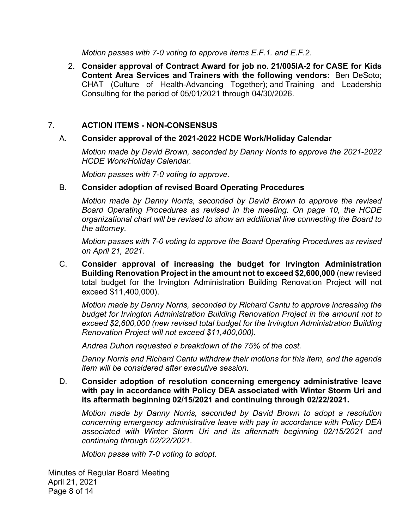*Motion passes with 7-0 voting to approve items E.F.1. and E.F.2.* 

 **Content Area Services and Trainers with the following vendors:** Ben DeSoto; 2. **Consider approval of Contract Award for job no. 21/005IA-2 for CASE for Kids**  CHAT (Culture of Health-Advancing Together); and Training and Leadership Consulting for the period of 05/01/2021 through 04/30/2026.

### 7. **ACTION ITEMS - NON-CONSENSUS**

#### A. **Consider approval of the 2021-2022 HCDE Work/Holiday Calendar**

*Motion made by David Brown, seconded by Danny Norris to approve the 2021-2022 HCDE Work/Holiday Calendar.* 

*Motion passes with 7-0 voting to approve.* 

#### B. **Consider adoption of revised Board Operating Procedures**

*Motion made by Danny Norris, seconded by David Brown to approve the revised Board Operating Procedures as revised in the meeting. On page 10, the HCDE organizational chart will be revised to show an additional line connecting the Board to the attorney.* 

*Motion passes with 7-0 voting to approve the Board Operating Procedures as revised on April 21, 2021.* 

C. **Consider approval of increasing the budget for Irvington Administration Building Renovation Project in the amount not to exceed \$2,600,000** (new revised total budget for the Irvington Administration Building Renovation Project will not exceed \$11,400,000).

*Motion made by Danny Norris, seconded by Richard Cantu to approve increasing the budget for Irvington Administration Building Renovation Project in the amount not to exceed \$2,600,000 (new revised total budget for the Irvington Administration Building Renovation Project will not exceed \$11,400,000).* 

*Andrea Duhon requested a breakdown of the 75% of the cost.* 

*Danny Norris and Richard Cantu withdrew their motions for this item, and the agenda item will be considered after executive session.* 

D. **Consider adoption of resolution concerning emergency administrative leave with pay in accordance with Policy DEA associated with Winter Storm Uri and its aftermath beginning 02/15/2021 and continuing through 02/22/2021.** 

*Motion made by Danny Norris, seconded by David Brown to adopt a resolution concerning emergency administrative leave with pay in accordance with Policy DEA associated with Winter Storm Uri and its aftermath beginning 02/15/2021 and continuing through 02/22/2021.* 

*Motion passe with 7-0 voting to adopt.* 

Minutes of Regular Board Meeting April 21, 2021 Page 8 of 14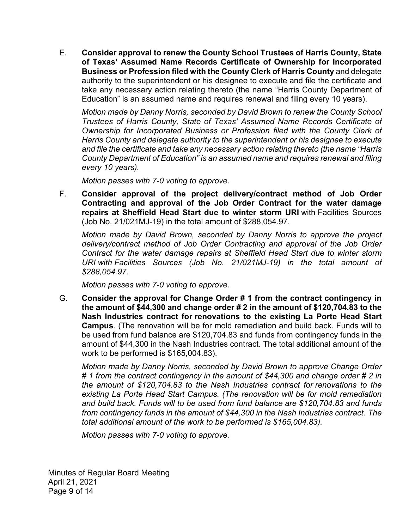E. **Consider approval to renew the County School Trustees of Harris County, State of Texas' Assumed Name Records Certificate of Ownership for Incorporated Business or Profession filed with the County Clerk of Harris County** and delegate authority to the superintendent or his designee to execute and file the certificate and take any necessary action relating thereto (the name "Harris County Department of Education" is an assumed name and requires renewal and filing every 10 years).

*Motion made by Danny Norris, seconded by David Brown to renew the County School Trustees of Harris County, State of Texas' Assumed Name Records Certificate of Ownership for Incorporated Business or Profession filed with the County Clerk of Harris County and delegate authority to the superintendent or his designee to execute and file the certificate and take any necessary action relating thereto (the name "Harris County Department of Education" is an assumed name and requires renewal and filing every 10 years).* 

*Motion passes with 7-0 voting to approve.* 

F. **Consider approval of the project delivery/contract method of Job Order Contracting and approval of the Job Order Contract for the water damage repairs at Sheffield Head Start due to winter storm URI** with Facilities Sources (Job No. 21/021MJ-19) in the total amount of \$[288,054.97.](https://288,054.97)

*Motion made by David Brown, seconded by Danny Norris to approve the project delivery/contract method of Job Order Contracting and approval of the Job Order Contract for the water damage repairs at Sheffield Head Start due to winter storm URI with Facilities Sources (Job No. 21/021MJ-19) in the total amount of [\\$288,054.97](https://288,054.97).* 

*Motion passes with 7-0 voting to approve.* 

G. **Consider the approval for Change Order # 1 from the contract contingency in the amount of \$44,300 and change order # 2 in the amount of [\\$120,704.83](https://120,704.83) to the Nash Industries contract for renovations to the existing La Porte Head Start Campus**. (The renovation will be for mold remediation and build back. Funds will to be used from fund balance are [\\$120,704.83](https://120,704.83) and funds from contingency funds in the amount of \$44,300 in the Nash Industries contract. The total additional amount of the work to be performed is \$[165,004.83\)](https://165,004.83).

*Motion made by Danny Norris, seconded by David Brown to approve Change Order # 1 from the contract contingency in the amount of \$44,300 and change order # 2 in the amount of [\\$120,704.83](https://120,704.83) to the Nash Industries contract for renovations to the existing La Porte Head Start Campus. (The renovation will be for mold remediation and build back. Funds will to be used from fund balance are [\\$120,704.83](https://120,704.83) and funds from contingency funds in the amount of \$44,300 in the Nash Industries contract. The total additional amount of the work to be performed is [\\$165,004.83](https://165,004.83)).* 

*Motion passes with 7-0 voting to approve.* 

Minutes of Regular Board Meeting April 21, 2021 Page 9 of 14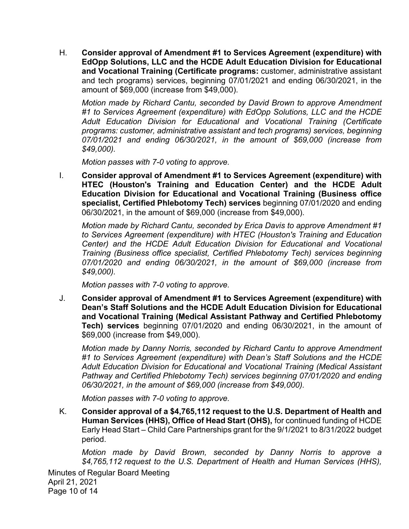H. **Consider approval of Amendment #1 to Services Agreement (expenditure) with EdOpp Solutions, LLC and the HCDE Adult Education Division for Educational and Vocational Training (Certificate programs:** customer, administrative assistant and tech programs) services, beginning 07/01/2021 and ending 06/30/2021, in the amount of \$69,000 (increase from \$49,000).

*Motion made by Richard Cantu, seconded by David Brown to approve Amendment #1 to Services Agreement (expenditure) with EdOpp Solutions, LLC and the HCDE Adult Education Division for Educational and Vocational Training (Certificate programs: customer, administrative assistant and tech programs) services, beginning 07/01/2021 and ending 06/30/2021, in the amount of \$69,000 (increase from \$49,000).* 

*Motion passes with 7-0 voting to approve.* 

I. **Consider approval of Amendment #1 to Services Agreement (expenditure) with HTEC (Houston's Training and Education Center) and the HCDE Adult Education Division for Educational and Vocational Training (Business office specialist, Certified Phlebotomy Tech) services** beginning 07/01/2020 and ending 06/30/2021, in the amount of \$69,000 (increase from \$49,000).

*Motion made by Richard Cantu, seconded by Erica Davis to approve Amendment #1 to Services Agreement (expenditure) with HTEC (Houston's Training and Education Center) and the HCDE Adult Education Division for Educational and Vocational Training (Business office specialist, Certified Phlebotomy Tech) services beginning 07/01/2020 and ending 06/30/2021, in the amount of \$69,000 (increase from \$49,000).* 

*Motion passes with 7-0 voting to approve.* 

J. **Consider approval of Amendment #1 to Services Agreement (expenditure) with Dean's Staff Solutions and the HCDE Adult Education Division for Educational and Vocational Training (Medical Assistant Pathway and Certified Phlebotomy Tech) services** beginning 07/01/2020 and ending 06/30/2021, in the amount of \$69,000 (increase from \$49,000).

*Motion made by Danny Norris, seconded by Richard Cantu to approve Amendment #1 to Services Agreement (expenditure) with Dean's Staff Solutions and the HCDE Adult Education Division for Educational and Vocational Training (Medical Assistant Pathway and Certified Phlebotomy Tech) services beginning 07/01/2020 and ending 06/30/2021, in the amount of \$69,000 (increase from \$49,000).* 

*Motion passes with 7-0 voting to approve.* 

K. **Consider approval of a \$4,765,112 request to the U.S. Department of Health and Human Services (HHS), Office of Head Start (OHS),** for continued funding of HCDE Early Head Start – Child Care Partnerships grant for the 9/1/2021 to 8/31/2022 budget period.

*Motion made by David Brown, seconded by Danny Norris to approve a \$4,765,112 request to the U.S. Department of Health and Human Services (HHS),* 

Minutes of Regular Board Meeting April 21, 2021 Page 10 of 14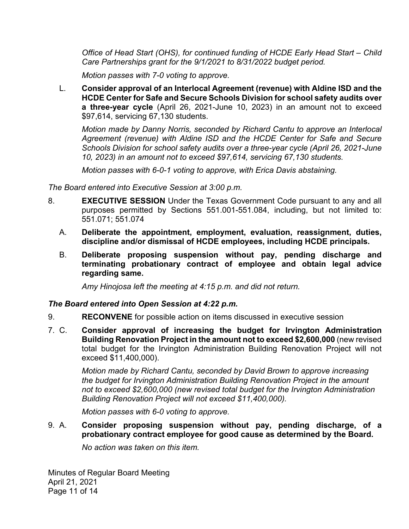*Office of Head Start (OHS), for continued funding of HCDE Early Head Start – Child Care Partnerships grant for the 9/1/2021 to 8/31/2022 budget period.* 

*Motion passes with 7-0 voting to approve.* 

L. **Consider approval of an Interlocal Agreement (revenue) with Aldine ISD and the HCDE Center for Safe and Secure Schools Division for school safety audits over a three-year cycle** (April 26, 2021-June 10, 2023) in an amount not to exceed \$97,614, servicing 67,130 students.

*Motion made by Danny Norris, seconded by Richard Cantu to approve an Interlocal Agreement (revenue) with Aldine ISD and the HCDE Center for Safe and Secure Schools Division for school safety audits over a three-year cycle (April 26, 2021-June 10, 2023) in an amount not to exceed \$97,614, servicing 67,130 students.* 

*Motion passes with 6-0-1 voting to approve, with Erica Davis abstaining.* 

*The Board entered into Executive Session at 3:00 p.m.* 

- 8. **EXECUTIVE SESSION** Under the Texas Government Code pursuant to any and all purposes permitted by Sections 551.001-551.084, including, but not limited to: 551.071; 551.074
	- **discipline and/or dismissal of HCDE employees, including HCDE principals.** A. **Deliberate the appointment, employment, evaluation, reassignment, duties,**
	- B. **Deliberate proposing suspension without pay, pending discharge and terminating probationary contract of employee and obtain legal advice regarding same.**

*Amy Hinojosa left the meeting at 4:15 p.m. and did not return.* 

#### *The Board entered into Open Session at 4:22 p.m.*

- 9. **RECONVENE** for possible action on items discussed in executive session
- 7. C. **Consider approval of increasing the budget for Irvington Administration Building Renovation Project in the amount not to exceed \$2,600,000** (new revised total budget for the Irvington Administration Building Renovation Project will not exceed \$11,400,000).

*Motion made by Richard Cantu, seconded by David Brown to approve increasing the budget for Irvington Administration Building Renovation Project in the amount not to exceed \$2,600,000 (new revised total budget for the Irvington Administration Building Renovation Project will not exceed \$11,400,000).* 

*Motion passes with 6-0 voting to approve.* 

#### 9. A. **Consider proposing suspension without pay, pending discharge, of a probationary contract employee for good cause as determined by the Board.**

*No action was taken on this item.* 

Minutes of Regular Board Meeting April 21, 2021 Page 11 of 14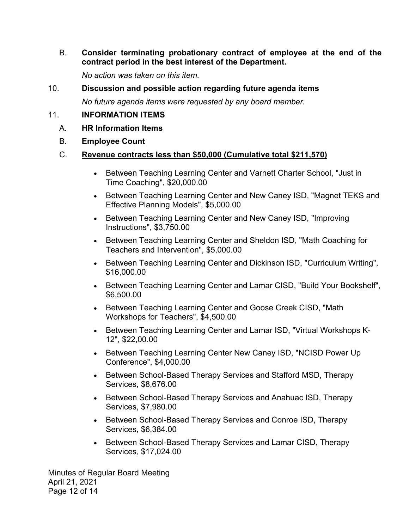B. **Consider terminating probationary contract of employee at the end of the contract period in the best interest of the Department.** 

*No action was taken on this item.* 

#### 10. **Discussion and possible action regarding future agenda items**

*No future agenda items were requested by any board member.* 

#### 11. **INFORMATION ITEMS**

- A. **HR Information Items**
- B. **Employee Count**

#### C. **Revenue contracts less than \$50,000 (Cumulative total \$211,570)**

- Between Teaching Learning Center and Varnett Charter School, "Just in Time Coaching", \$[20,000.00](https://20,000.00)
- Between Teaching Learning Center and New Caney ISD, "Magnet TEKS and Effective Planning Models", [\\$5,000.00](https://5,000.00)
- Between Teaching Learning Center and New Caney ISD, "Improving" Instructions", [\\$3,750.00](https://3,750.00)
- Between Teaching Learning Center and Sheldon ISD, "Math Coaching for Teachers and Intervention", [\\$5,000.00](https://5,000.00)
- Between Teaching Learning Center and Dickinson ISD, "Curriculum Writing", [\\$16,000.00](https://16,000.00)
- Between Teaching Learning Center and Lamar CISD, "Build Your Bookshelf", [\\$6,500.00](https://6,500.00)
- Between Teaching Learning Center and Goose Creek CISD, "Math Workshops for Teachers", \$[4,500.00](https://4,500.00)
- Between Teaching Learning Center and Lamar ISD, "Virtual Workshops K-12", [\\$22,00.00](https://22,00.00)
- Between Teaching Learning Center New Caney ISD, "NCISD Power Up Conference", [\\$4,000.00](https://4,000.00)
- Between School-Based Therapy Services and Stafford MSD, Therapy Services, \$[8,676.00](https://8,676.00)
- Between School-Based Therapy Services and Anahuac ISD, Therapy Services, \$[7,980.00](https://7,980.00)
- Between School-Based Therapy Services and Conroe ISD, Therapy Services, \$[6,384.00](https://6,384.00)
- Between School-Based Therapy Services and Lamar CISD, Therapy Services, \$[17,024.00](https://17,024.00)

Minutes of Regular Board Meeting April 21, 2021 Page 12 of 14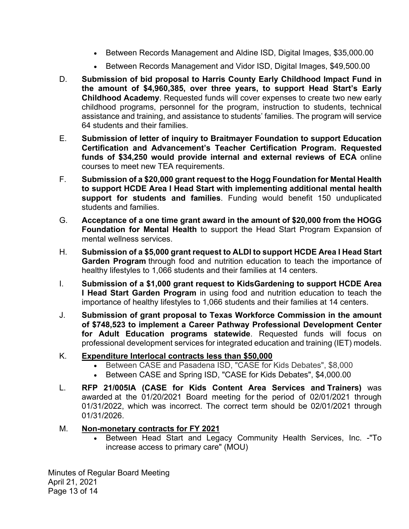- Between Records Management and Aldine ISD, Digital Images, [\\$35,000.00](https://35,000.00)
- Between Records Management and Vidor ISD, Digital Images, \$[49,500.00](https://49,500.00)
- D. **Submission of bid proposal to Harris County Early Childhood Impact Fund in the amount of \$4,960,385, over three years, to support Head Start's Early Childhood Academy**. Requested funds will cover expenses to create two new early childhood programs, personnel for the program, instruction to students, technical assistance and training, and assistance to students' families. The program will service 64 students and their families.
- E. **Submission of letter of inquiry to Braitmayer Foundation to support Education Certification and Advancement's Teacher Certification Program. Requested funds of \$34,250 would provide internal and external reviews of ECA** online courses to meet new TEA requirements.
- F. **Submission of a \$20,000 grant request to the Hogg Foundation for Mental Health to support HCDE Area I Head Start with implementing additional mental health support for students and families**. Funding would benefit 150 unduplicated students and families.
- G. **Acceptance of a one time grant award in the amount of \$20,000 from the HOGG Foundation for Mental Health** to support the Head Start Program Expansion of mental wellness services.
- H. **Submission of a \$5,000 grant request to ALDI to support HCDE Area I Head Start Garden Program** through food and nutrition education to teach the importance of healthy lifestyles to 1,066 students and their families at 14 centers.
- I. **Submission of a \$1,000 grant request to KidsGardening to support HCDE Area I Head Start Garden Program** in using food and nutrition education to teach the importance of healthy lifestyles to 1,066 students and their families at 14 centers.
- J. **Submission of grant proposal to Texas Workforce Commission in the amount of \$748,523 to implement a Career Pathway Professional Development Center for Adult Education programs statewide**. Requested funds will focus on professional development services for integrated education and training (IET) models.

## K. **Expenditure Interlocal contracts less than \$50,000**

- Between CASE and Pasadena ISD, "CASE for Kids Debates", \$8,000
- Between CASE and Spring ISD, "CASE for Kids Debates", \$4,000.00
- L. **RFP 21/005IA (CASE for Kids Content Area Services and Trainers)** was awarded at the 01/20/2021 Board meeting for the period of 02/01/2021 through 01/31/2022, which was incorrect. The correct term should be 02/01/2021 through 01/31/2026.

## M. **Non-monetary contracts for FY 2021**

 Between Head Start and Legacy Community Health Services, Inc. -"To increase access to primary care" (MOU)

Minutes of Regular Board Meeting April 21, 2021 Page 13 of 14